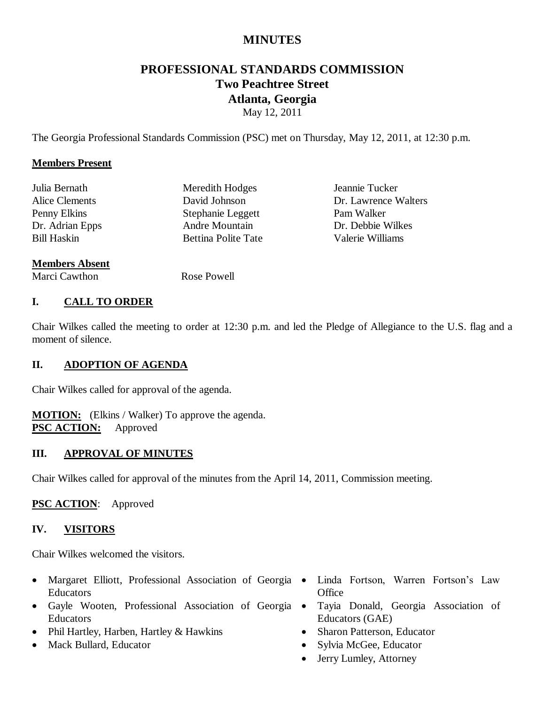## **MINUTES**

# **PROFESSIONAL STANDARDS COMMISSION Two Peachtree Street Atlanta, Georgia**

May 12, 2011

The Georgia Professional Standards Commission (PSC) met on Thursday, May 12, 2011, at 12:30 p.m.

#### **Members Present**

| Julia Bernath         | Meredith Hodges            | Jeannie Tucker       |
|-----------------------|----------------------------|----------------------|
| Alice Clements        | David Johnson              | Dr. Lawrence Walters |
| Penny Elkins          | Stephanie Leggett          | Pam Walker           |
| Dr. Adrian Epps       | Andre Mountain             | Dr. Debbie Wilkes    |
| <b>Bill Haskin</b>    | <b>Bettina Polite Tate</b> | Valerie Williams     |
| <b>Members Absent</b> |                            |                      |

## Marci Cawthon Rose Powell

#### **I. CALL TO ORDER**

Chair Wilkes called the meeting to order at 12:30 p.m. and led the Pledge of Allegiance to the U.S. flag and a moment of silence.

#### **II. ADOPTION OF AGENDA**

Chair Wilkes called for approval of the agenda.

**MOTION:** (Elkins / Walker) To approve the agenda. **PSC ACTION:** Approved

#### **III. APPROVAL OF MINUTES**

Chair Wilkes called for approval of the minutes from the April 14, 2011, Commission meeting.

#### **PSC ACTION**: Approved

#### **IV. VISITORS**

Chair Wilkes welcomed the visitors.

- Margaret Elliott, Professional Association of Georgia Educators
- Gayle Wooten, Professional Association of Georgia Educators
- Phil Hartley, Harben, Hartley & Hawkins
- Mack Bullard, Educator
- Linda Fortson, Warren Fortson's Law **Office**
- Tayia Donald, Georgia Association of Educators (GAE)
- Sharon Patterson, Educator
- Sylvia McGee, Educator
- Jerry Lumley, Attorney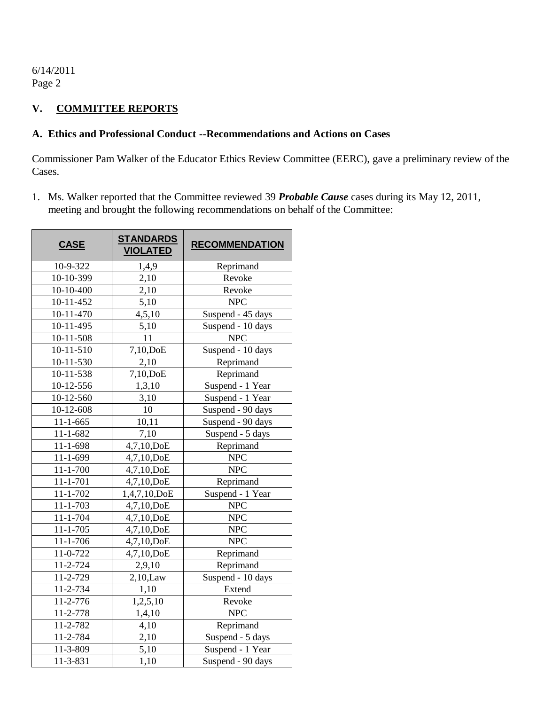## **V. COMMITTEE REPORTS**

#### **A. Ethics and Professional Conduct --Recommendations and Actions on Cases**

Commissioner Pam Walker of the Educator Ethics Review Committee (EERC), gave a preliminary review of the Cases.

1. Ms. Walker reported that the Committee reviewed 39 *Probable Cause* cases during its May 12, 2011, meeting and brought the following recommendations on behalf of the Committee:

| <b>CASE</b>     | <b>STANDARDS</b><br><b>VIOLATED</b> | <b>RECOMMENDATION</b> |
|-----------------|-------------------------------------|-----------------------|
| 10-9-322        | 1,4,9                               | Reprimand             |
| 10-10-399       | 2,10                                | Revoke                |
| 10-10-400       | 2,10                                | Revoke                |
| 10-11-452       | 5,10                                | <b>NPC</b>            |
| 10-11-470       | 4,5,10                              | Suspend - 45 days     |
| 10-11-495       | 5,10                                | Suspend - 10 days     |
| 10-11-508       | 11                                  | <b>NPC</b>            |
| $10 - 11 - 510$ | 7,10,DoE                            | Suspend - 10 days     |
| 10-11-530       | 2,10                                | Reprimand             |
| 10-11-538       | $7,10,$ DoE                         | Reprimand             |
| 10-12-556       | 1,3,10                              | Suspend - 1 Year      |
| 10-12-560       | 3,10                                | Suspend - 1 Year      |
| 10-12-608       | 10                                  | Suspend - 90 days     |
| $11 - 1 - 665$  | 10,11                               | Suspend - 90 days     |
| $11 - 1 - 682$  | 7,10                                | Suspend - 5 days      |
| $11 - 1 - 698$  | $\overline{4,}7,10,\text{DoE}$      | Reprimand             |
| $11 - 1 - 699$  | 4,7,10,DoE                          | <b>NPC</b>            |
| $11 - 1 - 700$  | 4,7,10,DoE                          | <b>NPC</b>            |
| $11 - 1 - 701$  | 4,7,10,DoE                          | Reprimand             |
| $11 - 1 - 702$  | 1,4,7,10,DoE                        | Suspend - 1 Year      |
| 11-1-703        | 4,7,10,DoE                          | <b>NPC</b>            |
| 11-1-704        | 4,7,10,DoE                          | <b>NPC</b>            |
| $11 - 1 - 705$  | 4,7,10,DoE                          | <b>NPC</b>            |
| $11 - 1 - 706$  | 4,7,10,DoE                          | <b>NPC</b>            |
| 11-0-722        | 4,7,10,DoE                          | Reprimand             |
| 11-2-724        | 2,9,10                              | Reprimand             |
| 11-2-729        | $2,10,$ Law                         | Suspend - 10 days     |
| 11-2-734        | 1,10                                | Extend                |
| 11-2-776        | 1,2,5,10                            | Revoke                |
| 11-2-778        | 1,4,10                              | <b>NPC</b>            |
| 11-2-782        | 4,10                                | Reprimand             |
| 11-2-784        | 2,10                                | Suspend - 5 days      |
| 11-3-809        | 5,10                                | Suspend - 1 Year      |
| 11-3-831        | 1,10                                | Suspend - 90 days     |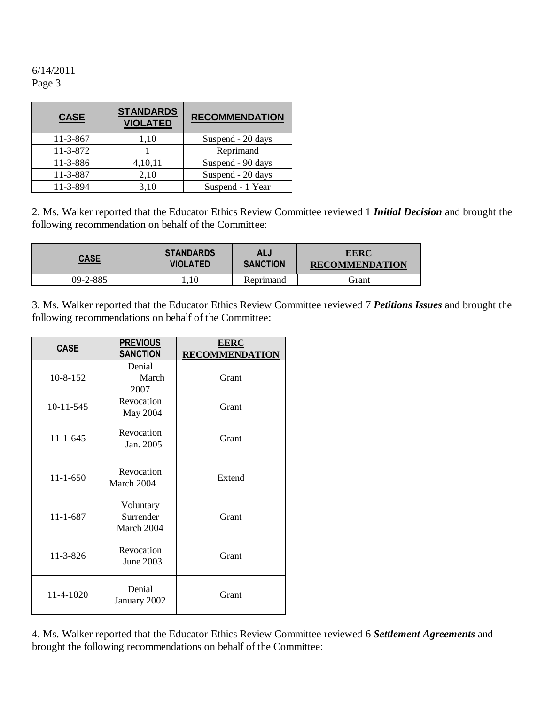| <b>CASE</b> | <b>STANDARDS</b><br><b>VIOLATED</b> | <b>RECOMMENDATION</b> |  |  |  |
|-------------|-------------------------------------|-----------------------|--|--|--|
| $11-3-867$  | 1,10                                | Suspend - 20 days     |  |  |  |
| 11-3-872    |                                     | Reprimand             |  |  |  |
| 11-3-886    | 4,10,11                             | Suspend - 90 days     |  |  |  |
| 11-3-887    | 2,10                                | Suspend - 20 days     |  |  |  |
| 11-3-894    | 3,10                                | Suspend - 1 Year      |  |  |  |

2. Ms. Walker reported that the Educator Ethics Review Committee reviewed 1 *Initial Decision* and brought the following recommendation on behalf of the Committee:

| <u>CASE</u> | <b>STANDARDS</b> | <u>ALJ</u>      | <b>EERC</b>           |
|-------------|------------------|-----------------|-----------------------|
|             | <b>VIOLATED</b>  | <b>SANCTION</b> | <b>RECOMMENDATION</b> |
| 09-2-885    | $1.10^{-7}$      | Reprimand       | Grant                 |

3. Ms. Walker reported that the Educator Ethics Review Committee reviewed 7 *Petitions Issues* and brought the following recommendations on behalf of the Committee:

| <b>CASE</b>    | <b>PREVIOUS</b><br><b>SANCTION</b>   | <b>EERC</b><br><b>RECOMMENDATION</b> |
|----------------|--------------------------------------|--------------------------------------|
| $10 - 8 - 152$ | Denial<br>March<br>2007              | Grant                                |
| 10-11-545      | Revocation<br>May 2004               | Grant                                |
| $11 - 1 - 645$ | Revocation<br>Jan. 2005              | Grant                                |
| $11 - 1 - 650$ | Revocation<br>March 2004             | Extend                               |
| $11 - 1 - 687$ | Voluntary<br>Surrender<br>March 2004 | Grant                                |
| 11-3-826       | Revocation<br>June 2003              | Grant                                |
| 11-4-1020      | Denial<br>January 2002               | Grant                                |

4. Ms. Walker reported that the Educator Ethics Review Committee reviewed 6 *Settlement Agreements* and brought the following recommendations on behalf of the Committee: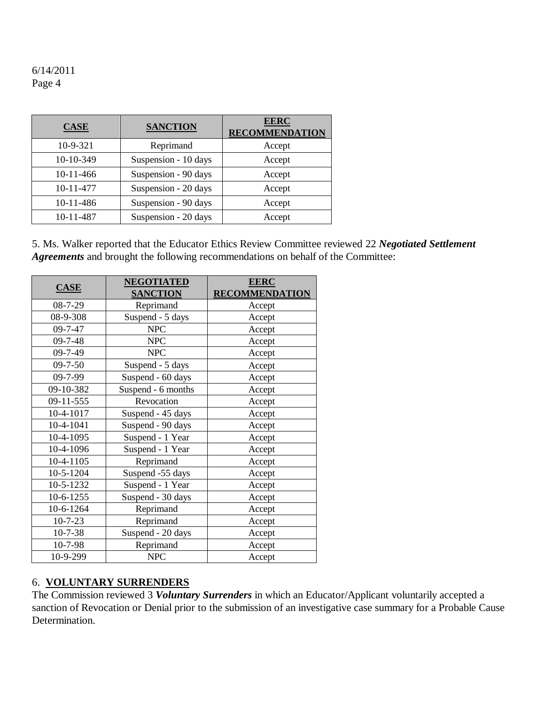| <b>CASE</b> | <b>SANCTION</b>      | <b>EERC</b><br><b>RECOMMENDATION</b> |
|-------------|----------------------|--------------------------------------|
| $10-9-321$  | Reprimand            | Accept                               |
| 10-10-349   | Suspension - 10 days | Accept                               |
| 10-11-466   | Suspension - 90 days | Accept                               |
| 10-11-477   | Suspension - 20 days | Accept                               |
| 10-11-486   | Suspension - 90 days | Accept                               |
| 10-11-487   | Suspension - 20 days | Accept                               |

5. Ms. Walker reported that the Educator Ethics Review Committee reviewed 22 *Negotiated Settlement Agreements* and brought the following recommendations on behalf of the Committee:

|               | <b>NEGOTIATED</b>  | <b>EERC</b>           |
|---------------|--------------------|-----------------------|
| <b>CASE</b>   | <b>SANCTION</b>    | <b>RECOMMENDATION</b> |
| $08 - 7 - 29$ | Reprimand          | Accept                |
| 08-9-308      | Suspend - 5 days   | Accept                |
| $09 - 7 - 47$ | <b>NPC</b>         | Accept                |
| $09 - 7 - 48$ | <b>NPC</b>         | Accept                |
| 09-7-49       | <b>NPC</b>         | Accept                |
| $09 - 7 - 50$ | Suspend - 5 days   | Accept                |
| $09 - 7 - 99$ | Suspend - 60 days  | Accept                |
| 09-10-382     | Suspend - 6 months | Accept                |
| 09-11-555     | Revocation         | Accept                |
| 10-4-1017     | Suspend - 45 days  | Accept                |
| 10-4-1041     | Suspend - 90 days  | Accept                |
| 10-4-1095     | Suspend - 1 Year   | Accept                |
| 10-4-1096     | Suspend - 1 Year   | Accept                |
| 10-4-1105     | Reprimand          | Accept                |
| 10-5-1204     | Suspend -55 days   | Accept                |
| 10-5-1232     | Suspend - 1 Year   | Accept                |
| 10-6-1255     | Suspend - 30 days  | Accept                |
| 10-6-1264     | Reprimand          | Accept                |
| $10 - 7 - 23$ | Reprimand          | Accept                |
| $10 - 7 - 38$ | Suspend - 20 days  | Accept                |
| 10-7-98       | Reprimand          | Accept                |
| 10-9-299      | <b>NPC</b>         | Accept                |

#### 6. **VOLUNTARY SURRENDERS**

The Commission reviewed 3 *Voluntary Surrenders* in which an Educator/Applicant voluntarily accepted a sanction of Revocation or Denial prior to the submission of an investigative case summary for a Probable Cause Determination.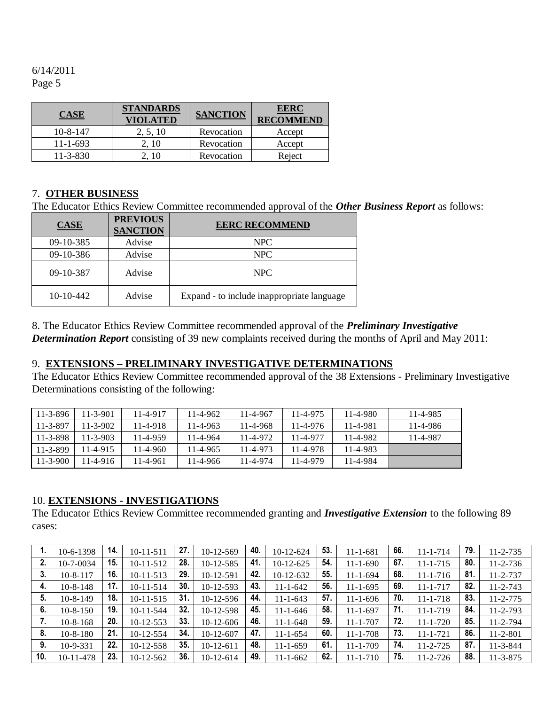| <b>CASE</b>    | <b>STANDARDS</b><br><b>VIOLATED</b> | <b>SANCTION</b> | <b>EERC</b><br><b>RECOMMEND</b> |
|----------------|-------------------------------------|-----------------|---------------------------------|
| $10 - 8 - 147$ | 2, 5, 10                            | Revocation      | Accept                          |
| $11 - 1 - 693$ | 2.10                                | Revocation      | Accept                          |
| $11 - 3 - 830$ | 2.10                                | Revocation      | Reject                          |

## 7. **OTHER BUSINESS**

The Educator Ethics Review Committee recommended approval of the *Other Business Report* as follows:

| CASE        | <b>PREVIOUS</b><br><b>SANCTION</b> | <b>EERC RECOMMEND</b>                      |
|-------------|------------------------------------|--------------------------------------------|
| 09-10-385   | Advise                             | NPC                                        |
| 09-10-386   | Advise                             | NPC                                        |
| 09-10-387   | Advise                             | NPC.                                       |
| $10-10-442$ | Advise                             | Expand - to include inappropriate language |

8. The Educator Ethics Review Committee recommended approval of the *Preliminary Investigative Determination Report* consisting of 39 new complaints received during the months of April and May 2011:

### 9. **EXTENSIONS – PRELIMINARY INVESTIGATIVE DETERMINATIONS**

The Educator Ethics Review Committee recommended approval of the 38 Extensions - Preliminary Investigative Determinations consisting of the following:

| $11 - 3 - 896$ | 11-3-901 | 11-4-917       | $11 - 4 - 962$ | 11-4-967 | 11-4-975 | $11 - 4 - 980$ | 11-4-985 |
|----------------|----------|----------------|----------------|----------|----------|----------------|----------|
| $11 - 3 - 897$ | 11-3-902 | $11 - 4 - 918$ | $11 - 4 - 963$ | 11-4-968 | 11-4-976 | 11-4-981       | 11-4-986 |
| $11 - 3 - 898$ | 11-3-903 | 11-4-959       | 11-4-964       | 11-4-972 | 11-4-977 | 11-4-982       | 11-4-987 |
| $11 - 3 - 899$ | 11-4-915 | 11-4-960       | $11 - 4 - 965$ | 11-4-973 | 11-4-978 | 11-4-983       |          |
| $11 - 3 - 900$ | 11-4-916 | 11-4-961       | $11 - 4 - 966$ | 11-4-974 | 11-4-979 | 11-4-984       |          |

#### 10. **EXTENSIONS - INVESTIGATIONS**

The Educator Ethics Review Committee recommended granting and *Investigative Extension* to the following 89 cases:

|     | 10-6-1398      | 14. | $10 - 11 - 511$ | 27. | 10-12-569   | 40. | 10-12-624      | 53. | 11-1-681       | 66. | $11 - 1 - 714$ | 79. | $11 - 2 - 735$ |
|-----|----------------|-----|-----------------|-----|-------------|-----|----------------|-----|----------------|-----|----------------|-----|----------------|
| 2.  | 10-7-0034      | 15. | $10-11-512$     | 28. | $10-12-585$ | 41. | $10-12-625$    | 54. | $11 - 1 - 690$ | 67. | $11 - 1 - 715$ | 80. | $11 - 2 - 736$ |
| 3.  | $10 - 8 - 117$ | 16. | $10-11-513$     | 29  | 10-12-591   | 42. | 10-12-632      | 55. | $11 - 1 - 694$ | 68. | $11 - 1 - 716$ | 81. | 11-2-737       |
| 4.  | $10 - 8 - 148$ | 17. | $10-11-514$     | 30. | 10-12-593   | 43. | $11 - 1 - 642$ | 56. | $11 - 1 - 695$ | 69. | $11 - 1 - 717$ | 82. | $11 - 2 - 743$ |
| 5.  | $10 - 8 - 149$ | 18. | $10-11-515$     | 31. | $10-12-596$ | 44. | $11 - 1 - 643$ | 57. | $11 - 1 - 696$ | 70. | $11 - 1 - 718$ | 83. | $11 - 2 - 775$ |
| 6.  | $10 - 8 - 150$ | 19. | 10-11-544       | 32. | $10-12-598$ | 45. | $11 - 1 - 646$ | 58. | 11-1-697       | 71. | $11 - 1 - 719$ | 84. | 11-2-793       |
| 7.  | $10 - 8 - 168$ | 20. | $10-12-553$     | 33. | $10-12-606$ | 46. | $11 - 1 - 648$ | 59. | $11 - 1 - 707$ | 72. | $11 - 1 - 720$ | 85. | 11-2-794       |
| 8.  | $10 - 8 - 180$ | 21. | $10-12-554$     | 34  | $10-12-607$ | 47. | $11 - 1 - 654$ | 60. | $11 - 1 - 708$ | 73. | $11 - 1 - 721$ | 86. | $11 - 2 - 801$ |
| 9.  | $10-9-331$     | 22. | 10-12-558       | 35. | $10-12-611$ | 48. | $11 - 1 - 659$ | 61. | $11 - 1 - 709$ | 74. | $11 - 2 - 725$ | 87. | $11 - 3 - 844$ |
| 10. | 10-11-478      | 23. | $10-12-562$     | 36. | $10-12-614$ | 49. | $11 - 1 - 662$ | 62. | 11-1-710       | 75. | $11 - 2 - 726$ | 88. | $11 - 3 - 875$ |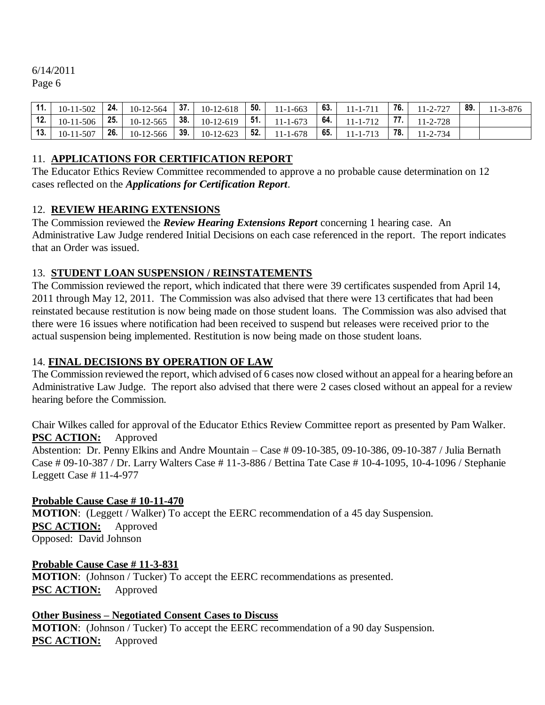| 11. | $10-11-502$     | 24. | 10-12-564   | 37. | $10-12-618$ | 50. | $11 - 1 - 663$ | 63. | $11 - 1 - 711$ | 76. 1 | 11-2-727       | 89. | $11 - 3 - 876$ |
|-----|-----------------|-----|-------------|-----|-------------|-----|----------------|-----|----------------|-------|----------------|-----|----------------|
| 12. | $10-11-506$     | 25. | $10-12-565$ | 38. | $10-12-619$ | 51. | $11 - 1 - 673$ | 64. | $11 - 1 - 712$ |       | $11 - 2 - 728$ |     |                |
| 13. | $10 - 11 - 507$ | 26. | 10-12-566   | 39. | $10-12-623$ | 52. | $11 - 1 - 678$ | 65. | $11 - 1 - 713$ | 78.   | $11 - 2 - 734$ |     |                |

### 11. **APPLICATIONS FOR CERTIFICATION REPORT**

The Educator Ethics Review Committee recommended to approve a no probable cause determination on 12 cases reflected on the *Applications for Certification Report*.

## 12. **REVIEW HEARING EXTENSIONS**

The Commission reviewed the *Review Hearing Extensions Report* concerning 1 hearing case. An Administrative Law Judge rendered Initial Decisions on each case referenced in the report. The report indicates that an Order was issued.

## 13. **STUDENT LOAN SUSPENSION / REINSTATEMENTS**

The Commission reviewed the report, which indicated that there were 39 certificates suspended from April 14, 2011 through May 12, 2011. The Commission was also advised that there were 13 certificates that had been reinstated because restitution is now being made on those student loans. The Commission was also advised that there were 16 issues where notification had been received to suspend but releases were received prior to the actual suspension being implemented. Restitution is now being made on those student loans.

#### 14. **FINAL DECISIONS BY OPERATION OF LAW**

The Commission reviewed the report, which advised of 6 cases now closed without an appeal for a hearing before an Administrative Law Judge. The report also advised that there were 2 cases closed without an appeal for a review hearing before the Commission.

Chair Wilkes called for approval of the Educator Ethics Review Committee report as presented by Pam Walker. **PSC ACTION:** Approved

Abstention: Dr. Penny Elkins and Andre Mountain – Case # 09-10-385, 09-10-386, 09-10-387 / Julia Bernath Case # 09-10-387 / Dr. Larry Walters Case # 11-3-886 / Bettina Tate Case # 10-4-1095, 10-4-1096 / Stephanie Leggett Case # 11-4-977

#### **Probable Cause Case # 10-11-470**

**MOTION**: (Leggett / Walker) To accept the EERC recommendation of a 45 day Suspension. **PSC ACTION:** Approved Opposed: David Johnson

#### **Probable Cause Case # 11-3-831**

**MOTION**: (Johnson / Tucker) To accept the EERC recommendations as presented. **PSC ACTION:** Approved

#### **Other Business – Negotiated Consent Cases to Discuss**

**MOTION**: (Johnson / Tucker) To accept the EERC recommendation of a 90 day Suspension. **PSC ACTION:** Approved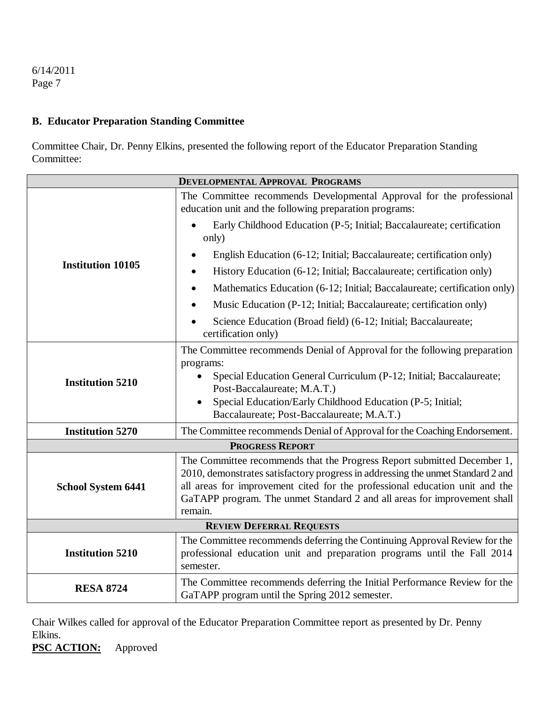### **B. Educator Preparation Standing Committee**

Committee Chair, Dr. Penny Elkins, presented the following report of the Educator Preparation Standing Committee:

| <b>DEVELOPMENTAL APPROVAL PROGRAMS</b> |                                                                                                                                                                                                                                                                                                                                  |
|----------------------------------------|----------------------------------------------------------------------------------------------------------------------------------------------------------------------------------------------------------------------------------------------------------------------------------------------------------------------------------|
| <b>Institution 10105</b>               | The Committee recommends Developmental Approval for the professional<br>education unit and the following preparation programs:                                                                                                                                                                                                   |
|                                        | Early Childhood Education (P-5; Initial; Baccalaureate; certification<br>only)                                                                                                                                                                                                                                                   |
|                                        | English Education (6-12; Initial; Baccalaureate; certification only)                                                                                                                                                                                                                                                             |
|                                        | History Education (6-12; Initial; Baccalaureate; certification only)                                                                                                                                                                                                                                                             |
|                                        | Mathematics Education (6-12; Initial; Baccalaureate; certification only)                                                                                                                                                                                                                                                         |
|                                        | Music Education (P-12; Initial; Baccalaureate; certification only)                                                                                                                                                                                                                                                               |
|                                        | Science Education (Broad field) (6-12; Initial; Baccalaureate;<br>certification only)                                                                                                                                                                                                                                            |
| <b>Institution 5210</b>                | The Committee recommends Denial of Approval for the following preparation<br>programs:<br>Special Education General Curriculum (P-12; Initial; Baccalaureate;<br>Post-Baccalaureate; M.A.T.)<br>Special Education/Early Childhood Education (P-5; Initial;                                                                       |
|                                        | Baccalaureate; Post-Baccalaureate; M.A.T.)                                                                                                                                                                                                                                                                                       |
| <b>Institution 5270</b>                | The Committee recommends Denial of Approval for the Coaching Endorsement.                                                                                                                                                                                                                                                        |
| <b>PROGRESS REPORT</b>                 |                                                                                                                                                                                                                                                                                                                                  |
| <b>School System 6441</b>              | The Committee recommends that the Progress Report submitted December 1,<br>2010, demonstrates satisfactory progress in addressing the unmet Standard 2 and<br>all areas for improvement cited for the professional education unit and the<br>GaTAPP program. The unmet Standard 2 and all areas for improvement shall<br>remain. |
| <b>REVIEW DEFERRAL REQUESTS</b>        |                                                                                                                                                                                                                                                                                                                                  |
| <b>Institution 5210</b>                | The Committee recommends deferring the Continuing Approval Review for the<br>professional education unit and preparation programs until the Fall 2014<br>semester.                                                                                                                                                               |
| <b>RESA 8724</b>                       | The Committee recommends deferring the Initial Performance Review for the<br>GaTAPP program until the Spring 2012 semester.                                                                                                                                                                                                      |

Chair Wilkes called for approval of the Educator Preparation Committee report as presented by Dr. Penny Elkins.

**PSC ACTION:** Approved